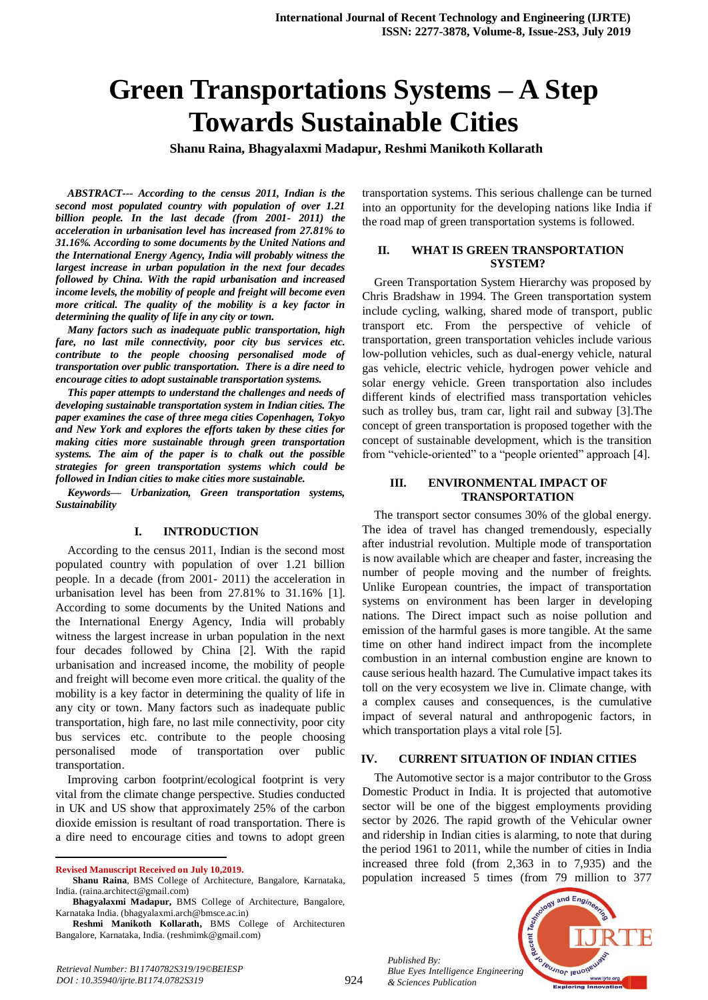# **Green Transportations Systems – A Step Towards Sustainable Cities**

**Shanu Raina, Bhagyalaxmi Madapur, Reshmi Manikoth Kollarath**

*ABSTRACT--- According to the census 2011, Indian is the second most populated country with population of over 1.21 billion people. In the last decade (from 2001- 2011) the acceleration in urbanisation level has increased from 27.81% to 31.16%. According to some documents by the United Nations and the International Energy Agency, India will probably witness the largest increase in urban population in the next four decades followed by China. With the rapid urbanisation and increased income levels, the mobility of people and freight will become even more critical. The quality of the mobility is a key factor in determining the quality of life in any city or town.*

*Many factors such as inadequate public transportation, high fare, no last mile connectivity, poor city bus services etc. contribute to the people choosing personalised mode of transportation over public transportation. There is a dire need to encourage cities to adopt sustainable transportation systems.*

*This paper attempts to understand the challenges and needs of developing sustainable transportation system in Indian cities. The paper examines the case of three mega cities Copenhagen, Tokyo and New York and explores the efforts taken by these cities for making cities more sustainable through green transportation systems. The aim of the paper is to chalk out the possible strategies for green transportation systems which could be followed in Indian cities to make cities more sustainable.*

*Keywords— Urbanization, Green transportation systems, Sustainability*

#### **I. INTRODUCTION**

According to the census 2011, Indian is the second most populated country with population of over 1.21 billion people. In a decade (from 2001- 2011) the acceleration in urbanisation level has been from 27.81% to 31.16% [1]. According to some documents by the United Nations and the International Energy Agency, India will probably witness the largest increase in urban population in the next four decades followed by China [2]. With the rapid urbanisation and increased income, the mobility of people and freight will become even more critical. the quality of the mobility is a key factor in determining the quality of life in any city or town. Many factors such as inadequate public transportation, high fare, no last mile connectivity, poor city bus services etc. contribute to the people choosing personalised mode of transportation over public transportation.

Improving carbon footprint/ecological footprint is very vital from the climate change perspective. Studies conducted in UK and US show that approximately 25% of the carbon dioxide emission is resultant of road transportation. There is a dire need to encourage cities and towns to adopt green

 $\overline{a}$ 

transportation systems. This serious challenge can be turned into an opportunity for the developing nations like India if the road map of green transportation systems is followed.

#### **II. WHAT IS GREEN TRANSPORTATION SYSTEM?**

Green Transportation System Hierarchy was proposed by Chris Bradshaw in 1994. The Green transportation system include cycling, walking, shared mode of transport, public transport etc. From the perspective of vehicle of transportation, green transportation vehicles include various low-pollution vehicles, such as dual-energy vehicle, natural gas vehicle, electric vehicle, hydrogen power vehicle and solar energy vehicle. Green transportation also includes different kinds of electrified mass transportation vehicles such as trolley bus, tram car, light rail and subway [3].The concept of green transportation is proposed together with the concept of sustainable development, which is the transition from "vehicle-oriented" to a "people oriented" approach [4].

#### **III. ENVIRONMENTAL IMPACT OF TRANSPORTATION**

The transport sector consumes 30% of the global energy. The idea of travel has changed tremendously, especially after industrial revolution. Multiple mode of transportation is now available which are cheaper and faster, increasing the number of people moving and the number of freights. Unlike European countries, the impact of transportation systems on environment has been larger in developing nations. The Direct impact such as noise pollution and emission of the harmful gases is more tangible. At the same time on other hand indirect impact from the incomplete combustion in an internal combustion engine are known to cause serious health hazard. The Cumulative impact takes its toll on the very ecosystem we live in. Climate change, with a complex causes and consequences, is the cumulative impact of several natural and anthropogenic factors, in which transportation plays a vital role [5].

#### **IV. CURRENT SITUATION OF INDIAN CITIES**

The Automotive sector is a major contributor to the Gross Domestic Product in India. It is projected that automotive sector will be one of the biggest employments providing sector by 2026. The rapid growth of the Vehicular owner and ridership in Indian cities is alarming, to note that during the period 1961 to 2011, while the number of cities in India increased three fold (from 2,363 in to 7,935) and the population increased 5 times (from 79 million to 377

*Published By: Blue Eyes Intelligence Engineering & Sciences Publication* 



**Revised Manuscript Received on July 10,2019.**

**Shanu Raina**, BMS College of Architecture, Bangalore, Karnataka, India. (raina.architect@gmail.com)

**Bhagyalaxmi Madapur,** BMS College of Architecture, Bangalore, Karnataka India. (bhagyalaxmi.arch@bmsce.ac.in)

**Reshmi Manikoth Kollarath,** BMS College of Architecturen Bangalore, Karnataka, India. (reshmimk@gmail.com)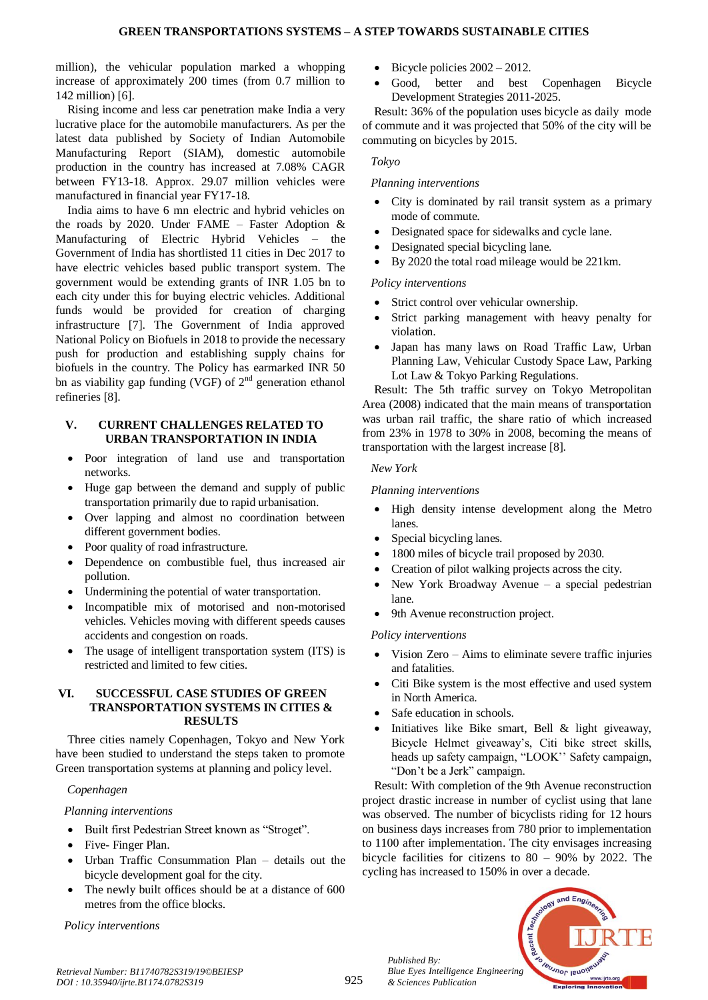million), the vehicular population marked a whopping increase of approximately 200 times (from 0.7 million to 142 million) [6].

Rising income and less car penetration make India a very lucrative place for the automobile manufacturers. As per the latest data published by Society of Indian Automobile Manufacturing Report (SIAM), domestic automobile production in the country has increased at 7.08% CAGR between FY13-18. Approx. 29.07 million vehicles were manufactured in financial year FY17-18.

India aims to have 6 mn electric and hybrid vehicles on the roads by 2020. Under FAME – Faster Adoption  $\&$ Manufacturing of Electric Hybrid Vehicles – the Government of India has shortlisted 11 cities in Dec 2017 to have electric vehicles based public transport system. The government would be extending grants of INR 1.05 bn to each city under this for buying electric vehicles. Additional funds would be provided for creation of charging infrastructure [7]. The Government of India approved National Policy on Biofuels in 2018 to provide the necessary push for production and establishing supply chains for biofuels in the country. The Policy has earmarked INR 50 bn as viability gap funding (VGF) of  $2<sup>nd</sup>$  generation ethanol refineries [8].

#### **V. CURRENT CHALLENGES RELATED TO URBAN TRANSPORTATION IN INDIA**

- Poor integration of land use and transportation networks.
- Huge gap between the demand and supply of public transportation primarily due to rapid urbanisation.
- Over lapping and almost no coordination between different government bodies.
- Poor quality of road infrastructure.
- Dependence on combustible fuel, thus increased air pollution.
- Undermining the potential of water transportation.
- Incompatible mix of motorised and non-motorised vehicles. Vehicles moving with different speeds causes accidents and congestion on roads.
- The usage of intelligent transportation system (ITS) is restricted and limited to few cities.

#### **VI. SUCCESSFUL CASE STUDIES OF GREEN TRANSPORTATION SYSTEMS IN CITIES & RESULTS**

Three cities namely Copenhagen, Tokyo and New York have been studied to understand the steps taken to promote Green transportation systems at planning and policy level.

#### *Copenhagen*

# *Planning interventions*

- Built first Pedestrian Street known as "Stroget".
- Five- Finger Plan.
- Urban Traffic Consummation Plan details out the bicycle development goal for the city.
- The newly built offices should be at a distance of 600 metres from the office blocks.

*Policy interventions* 

- $\bullet$  Bicycle policies  $2002 2012$ .
- Good, better and best Copenhagen Bicycle Development Strategies 2011-2025.

Result: 36% of the population uses bicycle as daily mode of commute and it was projected that 50% of the city will be commuting on bicycles by 2015.

#### *Tokyo*

### *Planning interventions*

- City is dominated by rail transit system as a primary mode of commute.
- Designated space for sidewalks and cycle lane.
- Designated special bicycling lane. By 2020 the total road mileage would be 221km.

# *Policy interventions*

- Strict control over vehicular ownership.
- Strict parking management with heavy penalty for violation.
- Japan has many laws on Road Traffic Law, Urban Planning Law, Vehicular Custody Space Law, Parking Lot Law & Tokyo Parking Regulations.

Result: The 5th traffic survey on Tokyo Metropolitan Area (2008) indicated that the main means of transportation was urban rail traffic, the share ratio of which increased from 23% in 1978 to 30% in 2008, becoming the means of transportation with the largest increase [8].

### *New York*

# *Planning interventions*

- High density intense development along the Metro lanes.
- Special bicycling lanes.
- 1800 miles of bicycle trail proposed by 2030.
- Creation of pilot walking projects across the city.
- New York Broadway Avenue a special pedestrian lane.
- 9th Avenue reconstruction project.

# *Policy interven*t*ions*

- Vision Zero Aims to eliminate severe traffic injuries and fatalities.
- Citi Bike system is the most effective and used system in North America.
- Safe education in schools.
- Initiatives like Bike smart, Bell & light giveaway, Bicycle Helmet giveaway's, Citi bike street skills, heads up safety campaign, "LOOK'' Safety campaign, "Don't be a Jerk" campaign.

Result: With completion of the 9th Avenue reconstruction project drastic increase in number of cyclist using that lane was observed. The number of bicyclists riding for 12 hours on business days increases from 780 prior to implementation to 1100 after implementation. The city envisages increasing bicycle facilities for citizens to 80 – 90% by 2022. The cycling has increased to 150% in over a decade.



*Published By:*

*& Sciences Publication*